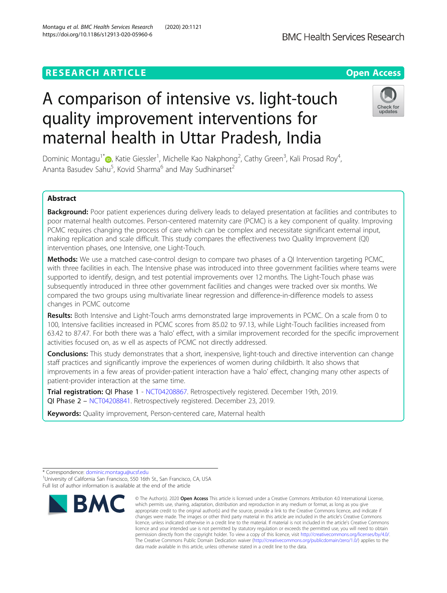# A comparison of intensive vs. light-touch quality improvement interventions for maternal health in Uttar Pradesh, India

Dominic Montagu<sup>1\*</sup> (**b**[,](http://orcid.org/0000-0002-2477-5543) Katie Giessler<sup>1</sup>, Michelle Kao Nakphong<sup>2</sup>, Cathy Green<sup>3</sup>, Kali Prosad Roy<sup>4</sup> , Ananta Basudev Sahu<sup>5</sup>, Kovid Sharma<sup>6</sup> and May Sudhinarset<sup>2</sup>

## Abstract

Background: Poor patient experiences during delivery leads to delayed presentation at facilities and contributes to poor maternal health outcomes. Person-centered maternity care (PCMC) is a key component of quality. Improving PCMC requires changing the process of care which can be complex and necessitate significant external input, making replication and scale difficult. This study compares the effectiveness two Quality Improvement (QI) intervention phases, one Intensive, one Light-Touch.

Methods: We use a matched case-control design to compare two phases of a QI Intervention targeting PCMC, with three facilities in each. The Intensive phase was introduced into three government facilities where teams were supported to identify, design, and test potential improvements over 12 months. The Light-Touch phase was subsequently introduced in three other government facilities and changes were tracked over six months. We compared the two groups using multivariate linear regression and difference-in-difference models to assess changes in PCMC outcome

Results: Both Intensive and Light-Touch arms demonstrated large improvements in PCMC. On a scale from 0 to 100, Intensive facilities increased in PCMC scores from 85.02 to 97.13, while Light-Touch facilities increased from 63.42 to 87.47. For both there was a 'halo' effect, with a similar improvement recorded for the specific improvement activities focused on, as w ell as aspects of PCMC not directly addressed.

**Conclusions:** This study demonstrates that a short, inexpensive, light-touch and directive intervention can change staff practices and significantly improve the experiences of women during childbirth. It also shows that improvements in a few areas of provider-patient interaction have a 'halo' effect, changing many other aspects of patient-provider interaction at the same time.

Trial registration: QI Phase 1 - [NCT04208867](https://clinicaltrials.gov/ct2/show/NCT04208867?term=NCT04208867&draw=2&rank=1). Retrospectively registered. December 19th, 2019. QI Phase 2 – [NCT04208841](https://clinicaltrials.gov/ct2/show/NCT04208841?term=NCT04208841&draw=2&rank=1). Retrospectively registered. December 23, 2019.

Keywords: Quality improvement, Person-centered care, Maternal health





<sup>©</sup> The Author(s), 2020 **Open Access** This article is licensed under a Creative Commons Attribution 4.0 International License, which permits use, sharing, adaptation, distribution and reproduction in any medium or format, as long as you give appropriate credit to the original author(s) and the source, provide a link to the Creative Commons licence, and indicate if changes were made. The images or other third party material in this article are included in the article's Creative Commons licence, unless indicated otherwise in a credit line to the material. If material is not included in the article's Creative Commons licence and your intended use is not permitted by statutory regulation or exceeds the permitted use, you will need to obtain permission directly from the copyright holder. To view a copy of this licence, visit [http://creativecommons.org/licenses/by/4.0/.](http://creativecommons.org/licenses/by/4.0/) The Creative Commons Public Domain Dedication waiver [\(http://creativecommons.org/publicdomain/zero/1.0/](http://creativecommons.org/publicdomain/zero/1.0/)) applies to the data made available in this article, unless otherwise stated in a credit line to the data.

<sup>\*</sup> Correspondence: [dominic.montagu@ucsf.edu](mailto:dominic.montagu@ucsf.edu) <sup>1</sup> <sup>1</sup>University of California San Francisco, 550 16th St., San Francisco, CA, USA Full list of author information is available at the end of the article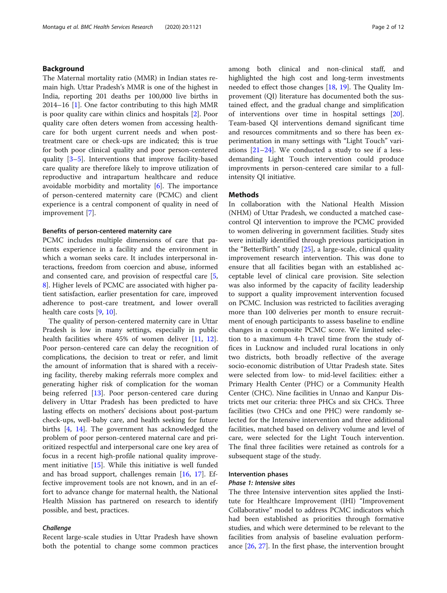## Background

The Maternal mortality ratio (MMR) in Indian states remain high. Uttar Pradesh's MMR is one of the highest in India, reporting 201 deaths per 100,000 live births in 2014–16 [[1\]](#page-10-0). One factor contributing to this high MMR is poor quality care within clinics and hospitals [[2\]](#page-10-0). Poor quality care often deters women from accessing healthcare for both urgent current needs and when posttreatment care or check-ups are indicated; this is true for both poor clinical quality and poor person-centered quality [\[3](#page-10-0)–[5](#page-10-0)]. Interventions that improve facility-based care quality are therefore likely to improve utilization of reproductive and intrapartum healthcare and reduce avoidable morbidity and mortality  $[6]$  $[6]$ . The importance of person-centered maternity care (PCMC) and client experience is a central component of quality in need of improvement [[7\]](#page-10-0).

## Benefits of person-centered maternity care

PCMC includes multiple dimensions of care that patients experience in a facility and the environment in which a woman seeks care. It includes interpersonal interactions, freedom from coercion and abuse, informed and consented care, and provision of respectful care [\[5](#page-10-0), [8\]](#page-10-0). Higher levels of PCMC are associated with higher patient satisfaction, earlier presentation for care, improved adherence to post-care treatment, and lower overall health care costs [[9,](#page-10-0) [10\]](#page-10-0).

The quality of person-centered maternity care in Uttar Pradesh is low in many settings, especially in public health facilities where 45% of women deliver [[11](#page-10-0), [12](#page-10-0)]. Poor person-centered care can delay the recognition of complications, the decision to treat or refer, and limit the amount of information that is shared with a receiving facility, thereby making referrals more complex and generating higher risk of complication for the woman being referred [[13\]](#page-10-0). Poor person-centered care during delivery in Uttar Pradesh has been predicted to have lasting effects on mothers' decisions about post-partum check-ups, well-baby care, and health seeking for future births [[4](#page-10-0), [14\]](#page-10-0). The government has acknowledged the problem of poor person-centered maternal care and prioritized respectful and interpersonal care one key area of focus in a recent high-profile national quality improvement initiative [[15](#page-10-0)]. While this initiative is well funded and has broad support, challenges remain [[16](#page-10-0), [17\]](#page-10-0). Effective improvement tools are not known, and in an effort to advance change for maternal health, the National Health Mission has partnered on research to identify possible, and best, practices.

## Challenge

Recent large-scale studies in Uttar Pradesh have shown both the potential to change some common practices among both clinical and non-clinical staff, and highlighted the high cost and long-term investments needed to effect those changes [\[18](#page-10-0), [19](#page-10-0)]. The Quality Improvement (QI) literature has documented both the sustained effect, and the gradual change and simplification of interventions over time in hospital settings [\[20](#page-10-0)]. Team-based QI interventions demand significant time and resources commitments and so there has been experimentation in many settings with "Light Touch" variations [[21](#page-10-0)–[24](#page-11-0)]. We conducted a study to see if a lessdemanding Light Touch intervention could produce improvments in person-centered care similar to a fullintensity QI initiative.

## **Methods**

In collaboration with the National Health Mission (NHM) of Uttar Pradesh, we conducted a matched casecontrol QI intervention to improve the PCMC provided to women delivering in government facilities. Study sites were initially identified through previous participation in the "BetterBirth" study [[25\]](#page-11-0), a large-scale, clinical quality improvement research intervention. This was done to ensure that all facilities began with an established acceptable level of clinical care provision. Site selection was also informed by the capacity of facility leadership to support a quality improvement intervention focused on PCMC. Inclusion was restricted to facilities averaging more than 100 deliveries per month to ensure recruitment of enough participants to assess baseline to endline changes in a composite PCMC score. We limited selection to a maximum 4-h travel time from the study offices in Lucknow and included rural locations in only two districts, both broadly reflective of the average socio-economic distribution of Uttar Pradesh state. Sites were selected from low- to mid-level facilities: either a Primary Health Center (PHC) or a Community Health Center (CHC). Nine facilities in Unnao and Kanpur Districts met our criteria: three PHCs and six CHCs. Three facilities (two CHCs and one PHC) were randomly selected for the Intensive intervention and three additional facilities, matched based on delivery volume and level of care, were selected for the Light Touch intervention. The final three facilities were retained as controls for a subsequent stage of the study.

## Intervention phases

#### Phase 1: Intensive sites

The three Intensive intervention sites applied the Institute for Healthcare Improvement (IHI) "Improvement Collaborative" model to address PCMC indicators which had been established as priorities through formative studies, and which were determined to be relevant to the facilities from analysis of baseline evaluation performance [\[26](#page-11-0), [27](#page-11-0)]. In the first phase, the intervention brought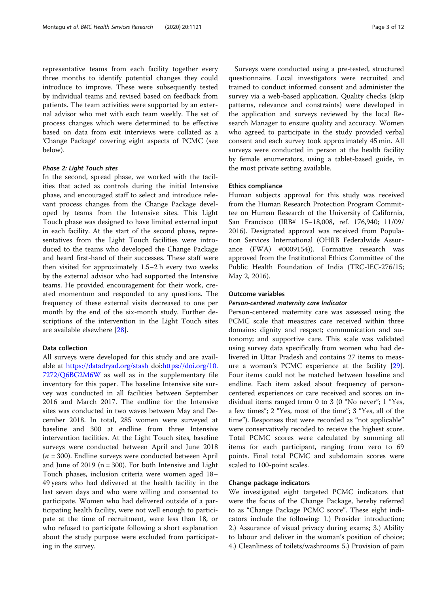representative teams from each facility together every three months to identify potential changes they could introduce to improve. These were subsequently tested by individual teams and revised based on feedback from patients. The team activities were supported by an external advisor who met with each team weekly. The set of process changes which were determined to be effective based on data from exit interviews were collated as a 'Change Package' covering eight aspects of PCMC (see below).

## Phase 2: Light Touch sites

In the second, spread phase, we worked with the facilities that acted as controls during the initial Intensive phase, and encouraged staff to select and introduce relevant process changes from the Change Package developed by teams from the Intensive sites. This Light Touch phase was designed to have limited external input in each facility. At the start of the second phase, representatives from the Light Touch facilities were introduced to the teams who developed the Change Package and heard first-hand of their successes. These staff were then visited for approximately 1.5–2 h every two weeks by the external advisor who had supported the Intensive teams. He provided encouragement for their work, created momentum and responded to any questions. The frequency of these external visits decreased to one per month by the end of the six-month study. Further descriptions of the intervention in the Light Touch sites are available elsewhere [[28\]](#page-11-0).

## Data collection

All surveys were developed for this study and are available at <https://datadryad.org/stash> doi:[https://doi.org/10.](https://doi.org/10.7272/Q6BG2M6W) [7272/Q6BG2M6W](https://doi.org/10.7272/Q6BG2M6W) as well as in the supplementary file inventory for this paper. The baseline Intensive site survey was conducted in all facilities between September 2016 and March 2017. The endline for the Intensive sites was conducted in two waves between May and December 2018. In total, 285 women were surveyed at baseline and 300 at endline from three Intensive intervention facilities. At the Light Touch sites, baseline surveys were conducted between April and June 2018  $(n = 300)$ . Endline surveys were conducted between April and June of 2019 ( $n = 300$ ). For both Intensive and Light Touch phases, inclusion criteria were women aged 18– 49 years who had delivered at the health facility in the last seven days and who were willing and consented to participate. Women who had delivered outside of a participating health facility, were not well enough to participate at the time of recruitment, were less than 18, or who refused to participate following a short explanation about the study purpose were excluded from participating in the survey.

Surveys were conducted using a pre-tested, structured questionnaire. Local investigators were recruited and trained to conduct informed consent and administer the survey via a web-based application. Quality checks (skip patterns, relevance and constraints) were developed in the application and surveys reviewed by the local Research Manager to ensure quality and accuracy. Women who agreed to participate in the study provided verbal consent and each survey took approximately 45 min. All surveys were conducted in person at the health facility by female enumerators, using a tablet-based guide, in the most private setting available.

## Ethics compliance

Human subjects approval for this study was received from the Human Research Protection Program Committee on Human Research of the University of California, San Francisco (IRB# 15–18,008, ref. 176,940; 11/09/ 2016). Designated approval was received from Population Services International (OHRB Federalwide Assurance (FWA) #0009154)). Formative research was approved from the Institutional Ethics Committee of the Public Health Foundation of India (TRC-IEC-276/15; May 2, 2016).

## Outcome variables

#### Person-centered maternity care Indicator

Person-centered maternity care was assessed using the PCMC scale that measures care received within three domains: dignity and respect; communication and autonomy; and supportive care. This scale was validated using survey data specifically from women who had delivered in Uttar Pradesh and contains 27 items to measure a woman's PCMC experience at the facility [\[29](#page-11-0)]. Four items could not be matched between baseline and endline. Each item asked about frequency of personcentered experiences or care received and scores on individual items ranged from 0 to 3 (0 "No never"; 1 "Yes, a few times"; 2 "Yes, most of the time"; 3 "Yes, all of the time"). Responses that were recorded as "not applicable" were conservatively recoded to receive the highest score. Total PCMC scores were calculated by summing all items for each participant, ranging from zero to 69 points. Final total PCMC and subdomain scores were scaled to 100-point scales.

## Change package indicators

We investigated eight targeted PCMC indicators that were the focus of the Change Package, hereby referred to as "Change Package PCMC score". These eight indicators include the following: 1.) Provider introduction; 2.) Assurance of visual privacy during exams; 3.) Ability to labour and deliver in the woman's position of choice; 4.) Cleanliness of toilets/washrooms 5.) Provision of pain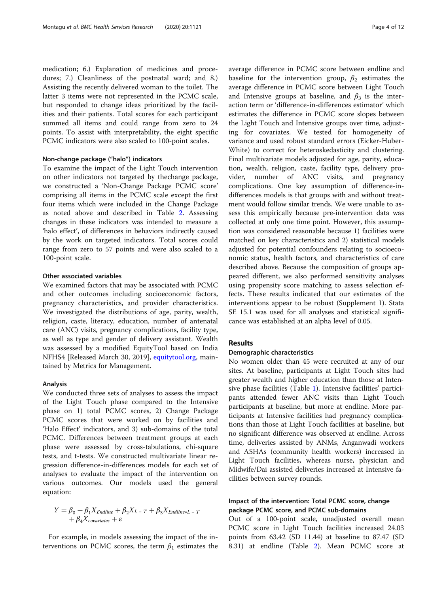medication; 6.) Explanation of medicines and procedures; 7.) Cleanliness of the postnatal ward; and 8.) Assisting the recently delivered woman to the toilet. The latter 3 items were not represented in the PCMC scale, but responded to change ideas prioritized by the facilities and their patients. Total scores for each participant summed all items and could range from zero to 24 points. To assist with interpretability, the eight specific PCMC indicators were also scaled to 100-point scales.

## Non-change package ("halo") indicators

To examine the impact of the Light Touch intervention on other indicators not targeted by thechange package, we constructed a 'Non-Change Package PCMC score' comprising all items in the PCMC scale except the first four items which were included in the Change Package as noted above and described in Table [2](#page-6-0). Assessing changes in these indicators was intended to measure a 'halo effect', of differences in behaviors indirectly caused by the work on targeted indicators. Total scores could range from zero to 57 points and were also scaled to a 100-point scale.

## Other associated variables

We examined factors that may be associated with PCMC and other outcomes including socioeconomic factors, pregnancy characteristics, and provider characteristics. We investigated the distributions of age, parity, wealth, religion, caste, literacy, education, number of antenatal care (ANC) visits, pregnancy complications, facility type, as well as type and gender of delivery assistant. Wealth was assessed by a modified EquityTool based on India NFHS4 [Released March 30, 2019], [equitytool.org](http://equitytool.org), maintained by Metrics for Management.

## Analysis

We conducted three sets of analyses to assess the impact of the Light Touch phase compared to the Intensive phase on 1) total PCMC scores, 2) Change Package PCMC scores that were worked on by facilities and 'Halo Effect' indicators, and 3) sub-domains of the total PCMC. Differences between treatment groups at each phase were assessed by cross-tabulations, chi-square tests, and t-tests. We constructed multivariate linear regression difference-in-differences models for each set of analyses to evaluate the impact of the intervention on various outcomes. Our models used the general equation:

$$
Y = \beta_0 + \beta_1 X_{Endline} + \beta_2 X_{L-T} + \beta_3 X_{Endline \ast L-T} + \beta_4 X_{covariates} + \varepsilon
$$

For example, in models assessing the impact of the interventions on PCMC scores, the term  $\beta_1$  estimates the

average difference in PCMC score between endline and baseline for the intervention group,  $\beta_2$  estimates the average difference in PCMC score between Light Touch and Intensive groups at baseline, and  $\beta_3$  is the interaction term or 'difference-in-differences estimator' which estimates the difference in PCMC score slopes between the Light Touch and Intensive groups over time, adjusting for covariates. We tested for homogeneity of variance and used robust standard errors (Eicker-Huber-White) to correct for heteroskedasticity and clustering. Final multivariate models adjusted for age, parity, education, wealth, religion, caste, facility type, delivery provider, number of ANC visits, and pregnancy complications. One key assumption of difference-indifferences models is that groups with and without treatment would follow similar trends. We were unable to assess this empirically because pre-intervention data was collected at only one time point. However, this assumption was considered reasonable because 1) facilities were matched on key characteristics and 2) statistical models adjusted for potential confounders relating to socioeconomic status, health factors, and characteristics of care described above. Because the composition of groups appeared different, we also performed sensitivity analyses using propensity score matching to assess selection effects. These results indicated that our estimates of the interventions appear to be robust (Supplement 1). Stata SE 15.1 was used for all analyses and statistical significance was established at an alpha level of 0.05.

## Results

## Demographic characteristics

No women older than 45 were recruited at any of our sites. At baseline, participants at Light Touch sites had greater wealth and higher education than those at Intensive phase facilities (Table [1](#page-4-0)). Intensive facilities' participants attended fewer ANC visits than Light Touch participants at baseline, but more at endline. More participants at Intensive facilities had pregnancy complications than those at Light Touch facilities at baseline, but no significant difference was observed at endline. Across time, deliveries assisted by ANMs, Anganwadi workers and ASHAs (community health workers) increased in Light Touch facilities, whereas nurse, physician and Midwife/Dai assisted deliveries increased at Intensive facilities between survey rounds.

## Impact of the intervention: Total PCMC score, change package PCMC score, and PCMC sub-domains

Out of a 100-point scale, unadjusted overall mean PCMC score in Light Touch facilities increased 24.03 points from 63.42 (SD 11.44) at baseline to 87.47 (SD 8.31) at endline (Table [2](#page-6-0)). Mean PCMC score at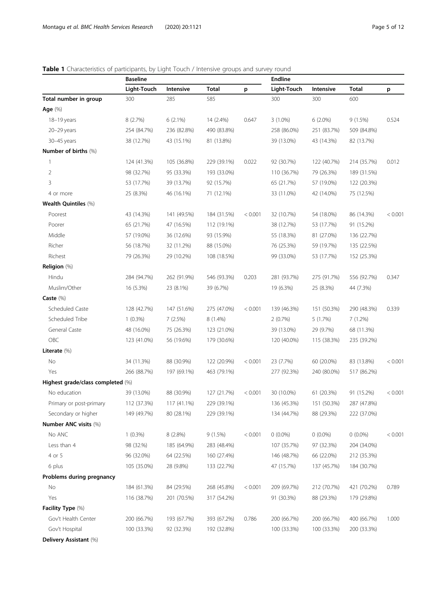|                                   | <b>Baseline</b> |             |              | <b>Endline</b> |             |             |             |         |  |  |
|-----------------------------------|-----------------|-------------|--------------|----------------|-------------|-------------|-------------|---------|--|--|
|                                   | Light-Touch     | Intensive   | <b>Total</b> | p              | Light-Touch | Intensive   | Total       | p       |  |  |
| Total number in group             | 300             | 285         | 585          |                | 300         | 300         | 600         |         |  |  |
| Age $(\%)$                        |                 |             |              |                |             |             |             |         |  |  |
| 18-19 years                       | 8 (2.7%)        | $6(2.1\%)$  | 14 (2.4%)    | 0.647          | $3(1.0\%)$  | $6(2.0\%)$  | 9(1.5%)     | 0.524   |  |  |
| 20-29 years                       | 254 (84.7%)     | 236 (82.8%) | 490 (83.8%)  |                | 258 (86.0%) | 251 (83.7%) | 509 (84.8%) |         |  |  |
| 30-45 years                       | 38 (12.7%)      | 43 (15.1%)  | 81 (13.8%)   |                | 39 (13.0%)  | 43 (14.3%)  | 82 (13.7%)  |         |  |  |
| Number of births (%)              |                 |             |              |                |             |             |             |         |  |  |
| $\mathbf{1}$                      | 124 (41.3%)     | 105 (36.8%) | 229 (39.1%)  | 0.022          | 92 (30.7%)  | 122 (40.7%) | 214 (35.7%) | 0.012   |  |  |
| $\overline{2}$                    | 98 (32.7%)      | 95 (33.3%)  | 193 (33.0%)  |                | 110 (36.7%) | 79 (26.3%)  | 189 (31.5%) |         |  |  |
| 3                                 | 53 (17.7%)      | 39 (13.7%)  | 92 (15.7%)   |                | 65 (21.7%)  | 57 (19.0%)  | 122 (20.3%) |         |  |  |
| 4 or more                         | 25 (8.3%)       | 46 (16.1%)  | 71 (12.1%)   |                | 33 (11.0%)  | 42 (14.0%)  | 75 (12.5%)  |         |  |  |
| Wealth Quintiles (%)              |                 |             |              |                |             |             |             |         |  |  |
| Poorest                           | 43 (14.3%)      | 141 (49.5%) | 184 (31.5%)  | < 0.001        | 32 (10.7%)  | 54 (18.0%)  | 86 (14.3%)  | < 0.001 |  |  |
| Poorer                            | 65 (21.7%)      | 47 (16.5%)  | 112 (19.1%)  |                | 38 (12.7%)  | 53 (17.7%)  | 91 (15.2%)  |         |  |  |
| Middle                            | 57 (19.0%)      | 36 (12.6%)  | 93 (15.9%)   |                | 55 (18.3%)  | 81 (27.0%)  | 136 (22.7%) |         |  |  |
| Richer                            | 56 (18.7%)      | 32 (11.2%)  | 88 (15.0%)   |                | 76 (25.3%)  | 59 (19.7%)  | 135 (22.5%) |         |  |  |
| Richest                           | 79 (26.3%)      | 29 (10.2%)  | 108 (18.5%)  |                | 99 (33.0%)  | 53 (17.7%)  | 152 (25.3%) |         |  |  |
| Religion (%)                      |                 |             |              |                |             |             |             |         |  |  |
| Hindu                             | 284 (94.7%)     | 262 (91.9%) | 546 (93.3%)  | 0.203          | 281 (93.7%) | 275 (91.7%) | 556 (92.7%) | 0.347   |  |  |
| Muslim/Other                      | 16 (5.3%)       | 23 (8.1%)   | 39 (6.7%)    |                | 19 (6.3%)   | 25 (8.3%)   | 44 (7.3%)   |         |  |  |
| Caste (%)                         |                 |             |              |                |             |             |             |         |  |  |
| Scheduled Caste                   | 128 (42.7%)     | 147 (51.6%) | 275 (47.0%)  | < 0.001        | 139 (46.3%) | 151 (50.3%) | 290 (48.3%) | 0.339   |  |  |
| Scheduled Tribe                   | $1(0.3\%)$      | 7(2.5%)     | 8 (1.4%)     |                | 2(0.7%)     | 5(1.7%)     | 7(1.2%)     |         |  |  |
| General Caste                     | 48 (16.0%)      | 75 (26.3%)  | 123 (21.0%)  |                | 39 (13.0%)  | 29 (9.7%)   | 68 (11.3%)  |         |  |  |
| OBC                               | 123 (41.0%)     | 56 (19.6%)  | 179 (30.6%)  |                | 120 (40.0%) | 115 (38.3%) | 235 (39.2%) |         |  |  |
| Literate (%)                      |                 |             |              |                |             |             |             |         |  |  |
| No                                | 34 (11.3%)      | 88 (30.9%)  | 122 (20.9%)  | < 0.001        | 23 (7.7%)   | 60 (20.0%)  | 83 (13.8%)  | < 0.001 |  |  |
| Yes                               | 266 (88.7%)     | 197 (69.1%) | 463 (79.1%)  |                | 277 (92.3%) | 240 (80.0%) | 517 (86.2%) |         |  |  |
| Highest grade/class completed (%) |                 |             |              |                |             |             |             |         |  |  |
| No education                      | 39 (13.0%)      | 88 (30.9%)  | 127 (21.7%)  | < 0.001        | 30 (10.0%)  | 61 (20.3%)  | 91 (15.2%)  | < 0.001 |  |  |
| Primary or post-primary           | 112 (37.3%)     | 117 (41.1%) | 229 (39.1%)  |                | 136 (45.3%) | 151 (50.3%) | 287 (47.8%) |         |  |  |
| Secondary or higher               | 149 (49.7%)     | 80 (28.1%)  | 229 (39.1%)  |                | 134 (44.7%) | 88 (29.3%)  | 222 (37.0%) |         |  |  |
| Number ANC visits (%)             |                 |             |              |                |             |             |             |         |  |  |
| No ANC                            | $1(0.3\%)$      | 8 (2.8%)    | 9(1.5%)      | < 0.001        | $0(0.0\%)$  | $0(0.0\%)$  | $0(0.0\%)$  | < 0.001 |  |  |
| Less than 4                       | 98 (32.%)       | 185 (64.9%) | 283 (48.4%)  |                | 107 (35.7%) | 97 (32.3%)  | 204 (34.0%) |         |  |  |
| 4 or 5                            | 96 (32.0%)      | 64 (22.5%)  | 160 (27.4%)  |                | 146 (48.7%) | 66 (22.0%)  | 212 (35.3%) |         |  |  |
| 6 plus                            | 105 (35.0%)     | 28 (9.8%)   | 133 (22.7%)  |                | 47 (15.7%)  | 137 (45.7%) | 184 (30.7%) |         |  |  |
| Problems during pregnancy         |                 |             |              |                |             |             |             |         |  |  |
| No                                | 184 (61.3%)     | 84 (29.5%)  | 268 (45.8%)  | < 0.001        | 209 (69.7%) | 212 (70.7%) | 421 (70.2%) | 0.789   |  |  |
| Yes                               | 116 (38.7%)     | 201 (70.5%) | 317 (54.2%)  |                | 91 (30.3%)  | 88 (29.3%)  | 179 (29.8%) |         |  |  |
| Facility Type (%)                 |                 |             |              |                |             |             |             |         |  |  |
| Gov't Health Center               | 200 (66.7%)     | 193 (67.7%) | 393 (67.2%)  | 0.786          | 200 (66.7%) | 200 (66.7%) | 400 (66.7%) | 1.000   |  |  |
| Gov't Hospital                    | 100 (33.3%)     | 92 (32.3%)  | 192 (32.8%)  |                | 100 (33.3%) | 100 (33.3%) | 200 (33.3%) |         |  |  |
| Delivery Assistant (%)            |                 |             |              |                |             |             |             |         |  |  |

## <span id="page-4-0"></span>Table 1 Characteristics of participants, by Light Touch / Intensive groups and survey round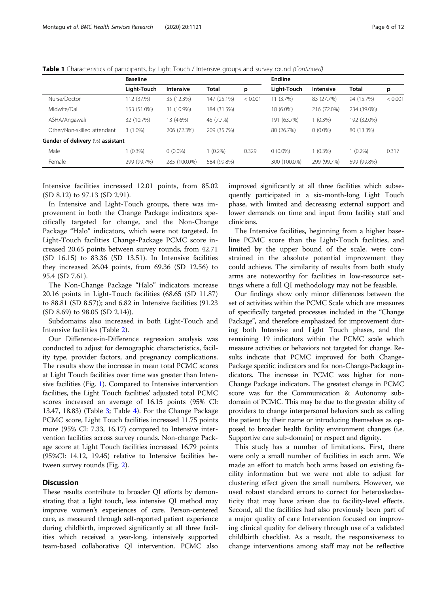|                                  | <b>Baseline</b> |                  |              | <b>Endline</b> |              |                  |              |         |  |
|----------------------------------|-----------------|------------------|--------------|----------------|--------------|------------------|--------------|---------|--|
|                                  | Light-Touch     | <b>Intensive</b> | <b>Total</b> | p              | Light-Touch  | <b>Intensive</b> | <b>Total</b> | p       |  |
| Nurse/Doctor                     | 12 (37.%)       | 35 (12.3%)       | 147 (25.1%)  | < 0.001        | 11 (3.7%)    | 83 (27.7%)       | 94 (15.7%)   | < 0.001 |  |
| Midwife/Dai                      | 153 (51.0%)     | 31 (10.9%)       | 184 (31.5%)  |                | 18 (6.0%)    | 216 (72.0%)      | 234 (39.0%)  |         |  |
| ASHA/Angawali                    | 32 (10.7%)      | 13 (4.6%)        | 45 (7.7%)    |                | 191 (63.7%)  | $1(0.3\%)$       | 192 (32.0%)  |         |  |
| Other/Non-skilled attendant      | $3(1.0\%)$      | 206 (72.3%)      | 209 (35.7%)  |                | 80 (26.7%)   | $0(0.0\%)$       | 80 (13.3%)   |         |  |
| Gender of delivery (%) assistant |                 |                  |              |                |              |                  |              |         |  |
| Male                             | $(0.3\%)$       | $0(0.0\%)$       | $1(0.2\%)$   | 0.329          | $0(0.0\%)$   | $1(0.3\%)$       | $(0.2\%)$    | 0.317   |  |
| Female                           | 299 (99.7%)     | 285 (100.0%)     | 584 (99.8%)  |                | 300 (100.0%) | 299 (99.7%)      | 599 (99.8%)  |         |  |

Intensive facilities increased 12.01 points, from 85.02 (SD 8.12) to 97.13 (SD 2.91).

In Intensive and Light-Touch groups, there was improvement in both the Change Package indicators specifically targeted for change, and the Non-Change Package "Halo" indicators, which were not targeted. In Light-Touch facilities Change-Package PCMC score increased 20.65 points between survey rounds, from 42.71 (SD 16.15) to 83.36 (SD 13.51). In Intensive facilities they increased 26.04 points, from 69.36 (SD 12.56) to 95.4 (SD 7.61).

The Non-Change Package "Halo" indicators increase 20.16 points in Light-Touch facilities (68.65 (SD 11.87) to 88.81 (SD 8.57)); and 6.82 in Intensive facilities (91.23 (SD 8.69) to 98.05 (SD 2.14)).

Subdomains also increased in both Light-Touch and Intensive facilities (Table [2\)](#page-6-0).

Our Difference-in-Difference regression analysis was conducted to adjust for demographic characteristics, facility type, provider factors, and pregnancy complications. The results show the increase in mean total PCMC scores at Light Touch facilities over time was greater than Intensive facilities (Fig. [1](#page-7-0)). Compared to Intensive intervention facilities, the Light Touch facilities' adjusted total PCMC scores increased an average of 16.15 points (95% CI: 13.47, 18.83) (Table [3;](#page-8-0) Table [4](#page-8-0)). For the Change Package PCMC score, Light Touch facilities increased 11.75 points more (95% CI: 7.33, 16.17) compared to Intensive intervention facilities across survey rounds. Non-change Package score at Light Touch facilities increased 16.79 points (95%CI: 14.12, 19.45) relative to Intensive facilities between survey rounds (Fig. [2\)](#page-9-0).

## **Discussion**

These results contribute to broader QI efforts by demonstrating that a light touch, less intensive QI method may improve women's experiences of care. Person-centered care, as measured through self-reported patient experience during childbirth, improved significantly at all three facilities which received a year-long, intensively supported team-based collaborative QI intervention. PCMC also

improved significantly at all three facilities which subsequently participated in a six-month-long Light Touch phase, with limited and decreasing external support and lower demands on time and input from facility staff and clinicians.

The Intensive facilities, beginning from a higher baseline PCMC score than the Light-Touch facilities, and limited by the upper bound of the scale, were constrained in the absolute potential improvement they could achieve. The similarity of results from both study arms are noteworthy for facilities in low-resource settings where a full QI methodology may not be feasible.

Our findings show only minor differences between the set of activities within the PCMC Scale which are measures of specifically targeted processes included in the "Change Package", and therefore emphasized for improvement during both Intensive and Light Touch phases, and the remaining 19 indicators within the PCMC scale which measure activities or behaviors not targeted for change. Results indicate that PCMC improved for both Change-Package specific indicators and for non-Change-Package indicators. The increase in PCMC was higher for non-Change Package indicators. The greatest change in PCMC score was for the Communication & Autonomy subdomain of PCMC. This may be due to the greater ability of providers to change interpersonal behaviors such as calling the patient by their name or introducing themselves as opposed to broader health facility environment changes (i.e. Supportive care sub-domain) or respect and dignity.

This study has a number of limitations. First, there were only a small number of facilities in each arm. We made an effort to match both arms based on existing facility information but we were not able to adjust for clustering effect given the small numbers. However, we used robust standard errors to correct for heteroskedasticity that may have arisen due to facility-level effects. Second, all the facilities had also previously been part of a major quality of care Intervention focused on improving clinical quality for delivery through use of a validated childbirth checklist. As a result, the responsiveness to change interventions among staff may not be reflective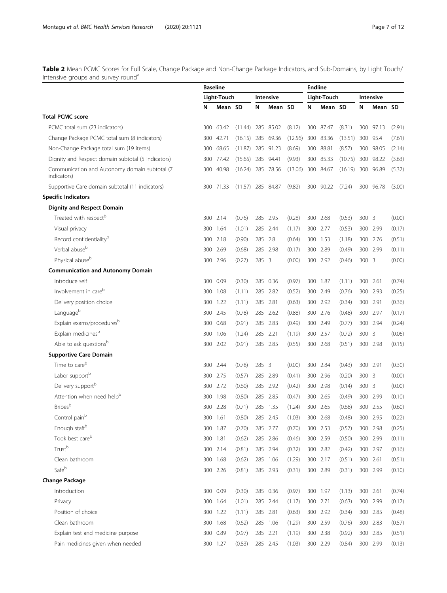<span id="page-6-0"></span>Table 2 Mean PCMC Scores for Full Scale, Change Package and Non-Change Package Indicators, and Sub-Domains, by Light Touch/ Intensive groups and survey round<sup>a</sup>

|                                                              | <b>Baseline</b> |             |                     |       |                         |         | <b>Endline</b>           |           |         |       |           |        |
|--------------------------------------------------------------|-----------------|-------------|---------------------|-------|-------------------------|---------|--------------------------|-----------|---------|-------|-----------|--------|
|                                                              |                 | Light-Touch |                     |       | <b>Intensive</b>        |         | Light-Touch<br>Intensive |           |         |       |           |        |
|                                                              | N               | Mean SD     |                     | N     | Mean SD                 |         | N                        | Mean SD   |         | N     | Mean SD   |        |
| <b>Total PCMC score</b>                                      |                 |             |                     |       |                         |         |                          |           |         |       |           |        |
| PCMC total sum (23 indicators)                               | 300             | 63.42       | (11.44)             | 285   | 85.02                   | (8.12)  | 300                      | 87.47     | (8.31)  | 300   | 97.13     | (2.91) |
| Change Package PCMC total sum (8 indicators)                 | 300             | 42.71       | $(16.15)$ 285       |       | 69.36                   | (12.56) |                          | 300 83.36 | (13.51) |       | 300 95.4  | (7.61) |
| Non-Change Package total sum (19 items)                      | 300             | 68.65       | (11.87)             | 285   | 91.23                   | (8.69)  | 300                      | 88.81     | (8.57)  |       | 300 98.05 | (2.14) |
| Dignity and Respect domain subtotal (5 indicators)           | 300             | 77.42       | (15.65)             | 285   | 94.41                   | (9.93)  | 300                      | 85.33     | (10.75) |       | 300 98.22 | (3.63) |
| Communication and Autonomy domain subtotal (7<br>indicators) | 300             | 40.98       | (16.24)             |       | 285 78.56               | (13.06) |                          | 300 84.67 | (16.19) |       | 300 96.89 | (5.37) |
| Supportive Care domain subtotal (11 indicators)              |                 | 300 71.33   | $(11.57)$ 285 84.87 |       |                         | (9.82)  |                          | 300 90.22 | (7.24)  |       | 300 96.78 | (3.00) |
| <b>Specific Indicators</b>                                   |                 |             |                     |       |                         |         |                          |           |         |       |           |        |
| <b>Dignity and Respect Domain</b>                            |                 |             |                     |       |                         |         |                          |           |         |       |           |        |
| Treated with respect <sup>b</sup>                            |                 | 300 2.14    | (0.76)              |       | 285 2.95                | (0.28)  |                          | 300 2.68  | (0.53)  | 300 3 |           | (0.00) |
| Visual privacy                                               | 300             | 1.64        | (1.01)              |       | 285 2.44                | (1.17)  |                          | 300 2.77  | (0.53)  |       | 300 2.99  | (0.17) |
| Record confidentiality <sup>b</sup>                          | 300             | 2.18        | (0.90)              | 285   | 2.8                     | (0.64)  |                          | 300 1.53  | (1.18)  |       | 300 2.76  | (0.51) |
| Verbal abuse <sup>b</sup>                                    | 300             | 2.69        | (0.68)              |       | 285 2.98                | (0.17)  |                          | 300 2.89  | (0.49)  |       | 300 2.99  | (0.11) |
| Physical abuse <sup>b</sup>                                  |                 | 300 2.96    | (0.27)              | 285 3 |                         | (0.00)  |                          | 300 2.92  | (0.46)  | 300 3 |           | (0.00) |
| <b>Communication and Autonomy Domain</b>                     |                 |             |                     |       |                         |         |                          |           |         |       |           |        |
| Introduce self                                               | 300             | 0.09        | (0.30)              | 285   | 0.36                    | (0.97)  | 300                      | 1.87      | (1.11)  | 300   | 2.61      | (0.74) |
| Involvement in care <sup>b</sup>                             | 300             | 1.08        | (1.11)              | 285   | 2.82                    | (0.52)  |                          | 300 2.49  | (0.76)  |       | 300 2.93  | (0.25) |
| Delivery position choice                                     | 300             | 1.22        | (1.11)              |       | 285 2.81                | (0.63)  |                          | 300 2.92  | (0.34)  |       | 300 2.91  | (0.36) |
| Languageb                                                    | 300             | 2.45        | (0.78)              |       | 285 2.62                | (0.88)  |                          | 300 2.76  | (0.48)  |       | 300 2.97  | (0.17) |
| Explain exams/proceduresb                                    | 300             | 0.68        | (0.91)              |       | 285 2.83                | (0.49)  |                          | 300 2.49  | (0.77)  |       | 300 2.94  | (0.24) |
| Explain medicines <sup>b</sup>                               | 300             | 1.06        | (1.24)              |       | 285 2.21                | (1.19)  |                          | 300 2.57  | (0.72)  | 300 3 |           | (0.06) |
| Able to ask questionsb                                       |                 | 300 2.02    | (0.91)              |       | 285 2.85                | (0.55)  |                          | 300 2.68  | (0.51)  |       | 300 2.98  | (0.15) |
| <b>Supportive Care Domain</b>                                |                 |             |                     |       |                         |         |                          |           |         |       |           |        |
| Time to care <sup>b</sup>                                    | 300             | 2.44        | (0.78)              | 285   | $\overline{\mathbf{3}}$ | (0.00)  |                          | 300 2.84  | (0.43)  |       | 300 2.91  | (0.30) |
| Labor support <sup>b</sup>                                   | 300             | 2.75        | (0.57)              |       | 285 2.89                | (0.41)  |                          | 300 2.96  | (0.20)  | 300 3 |           | (0.00) |
| Delivery support <sup>b</sup>                                |                 | 300 2.72    | (0.60)              |       | 285 2.92                | (0.42)  |                          | 300 2.98  | (0.14)  | 300 3 |           | (0.00) |
| Attention when need help <sup>b</sup>                        | 300             | 1.98        | (0.80)              | 285   | 2.85                    | (0.47)  |                          | 300 2.65  | (0.49)  |       | 300 2.99  | (0.10) |
| <b>Bribes</b> <sup>b</sup>                                   | 300             | 2.28        | (0.71)              |       | 285 1.35                | (1.24)  |                          | 300 2.65  | (0.68)  |       | 300 2.55  | (0.60) |
| Control pain <sup>b</sup>                                    |                 | 300 1.61    | (0.80)              |       | 285 2.45                | (1.03)  |                          | 300 2.68  | (0.48)  |       | 300 2.95  | (0.22) |
| Enough staff <sup>b</sup>                                    |                 | 300 1.87    | (0.70)              |       | 285 2.77                | (0.70)  |                          | 300 2.53  | (0.57)  |       | 300 2.98  | (0.25) |
| Took best care <sup>b</sup>                                  |                 | 300 1.81    | (0.62)              |       | 285 2.86                | (0.46)  |                          | 300 2.59  | (0.50)  |       | 300 2.99  | (0.11) |
| Trustb                                                       |                 | 300 2.14    | (0.81)              |       | 285 2.94                | (0.32)  |                          | 300 2.82  | (0.42)  |       | 300 2.97  | (0.16) |
| Clean bathroom                                               |                 | 300 1.68    | (0.62)              |       | 285 1.06                | (1.29)  |                          | 300 2.17  | (0.51)  |       | 300 2.61  | (0.51) |
| Safeb                                                        |                 | 300 2.26    | (0.81)              |       | 285 2.93                | (0.31)  |                          | 300 2.89  | (0.31)  |       | 300 2.99  | (0.10) |
| <b>Change Package</b>                                        |                 |             |                     |       |                         |         |                          |           |         |       |           |        |
| Introduction                                                 |                 | 300 0.09    | (0.30)              |       | 285 0.36                | (0.97)  |                          | 300 1.97  | (1.13)  |       | 300 2.61  | (0.74) |
| Privacy                                                      |                 | 300 1.64    | (1.01)              |       | 285 2.44                | (1.17)  |                          | 300 2.71  | (0.63)  |       | 300 2.99  | (0.17) |
| Position of choice                                           |                 | 300 1.22    | (1.11)              |       | 285 2.81                | (0.63)  |                          | 300 2.92  | (0.34)  |       | 300 2.85  | (0.48) |
| Clean bathroom                                               |                 | 300 1.68    | (0.62)              |       | 285 1.06                | (1.29)  |                          | 300 2.59  | (0.76)  |       | 300 2.83  | (0.57) |
| Explain test and medicine purpose                            |                 | 300 0.89    | (0.97)              |       | 285 2.21                | (1.19)  |                          | 300 2.38  | (0.92)  |       | 300 2.85  | (0.51) |
| Pain medicines given when needed                             |                 | 300 1.27    | (0.83)              |       | 285 2.45                | (1.03)  |                          | 300 2.29  | (0.84)  |       | 300 2.99  | (0.13) |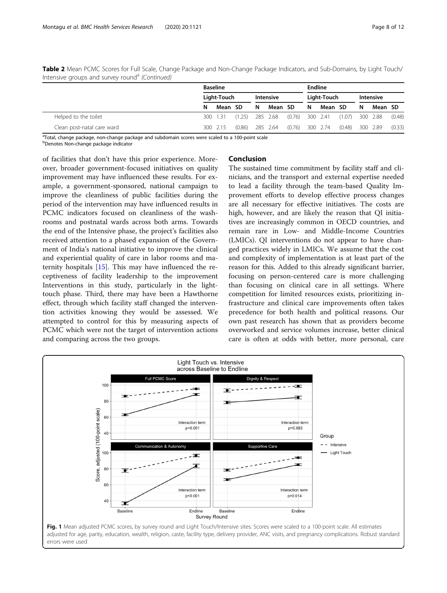|                            |             | <b>Baseline</b> |                   |                  |          |                   |             |         | <b>Endline</b>    |                  |          |        |  |  |
|----------------------------|-------------|-----------------|-------------------|------------------|----------|-------------------|-------------|---------|-------------------|------------------|----------|--------|--|--|
|                            | Light-Touch |                 |                   | <b>Intensive</b> |          |                   | Light-Touch |         |                   | <b>Intensive</b> |          |        |  |  |
|                            | N           | Mean SD         |                   | N                | Mean SD  |                   | N           | Mean SD |                   | N                | Mean SD  |        |  |  |
| Helped to the toilet       |             | 300 1.31        | $(1.25)$ 285 2.68 |                  |          | $(0.76)$ 300 2.41 |             |         | $(1.07)$ 300 2.88 |                  |          | (0.48) |  |  |
| Clean post-natal care ward |             | 300 2.15        | (0.86)            |                  | 285 2.64 | $(0.76)$ 300 2.74 |             |         | (0.48)            |                  | 300 2.89 | (0.33) |  |  |

<span id="page-7-0"></span>Table 2 Mean PCMC Scores for Full Scale, Change Package and Non-Change Package Indicators, and Sub-Domains, by Light Touch/ Intensive groups and survey round<sup>a</sup> (Continued)

<sup>a</sup>Total, change package, non-change package and subdomain scores were scaled to a 100-point scale b Denotes Non-change package indicator

of facilities that don't have this prior experience. Moreover, broader government-focused initiatives on quality improvement may have influenced these results. For example, a government-sponsored, national campaign to improve the cleanliness of public facilities during the period of the intervention may have influenced results in PCMC indicators focused on cleanliness of the washrooms and postnatal wards across both arms. Towards the end of the Intensive phase, the project's facilities also received attention to a phased expansion of the Government of India's national initiative to improve the clinical and experiential quality of care in labor rooms and maternity hospitals [[15](#page-10-0)]. This may have influenced the receptiveness of facility leadership to the improvement Interventions in this study, particularly in the lighttouch phase. Third, there may have been a Hawthorne effect, through which facility staff changed the intervention activities knowing they would be assessed. We attempted to control for this by measuring aspects of PCMC which were not the target of intervention actions and comparing across the two groups.

## Conclusion

The sustained time commitment by facility staff and clinicians, and the transport and external expertise needed to lead a facility through the team-based Quality Improvement efforts to develop effective process changes are all necessary for effective initiatives. The costs are high, however, and are likely the reason that QI initiatives are increasingly common in OECD countries, and remain rare in Low- and Middle-Income Countries (LMICs). QI interventions do not appear to have changed practices widely in LMICs. We assume that the cost and complexity of implementation is at least part of the reason for this. Added to this already significant barrier, focusing on person-centered care is more challenging than focusing on clinical care in all settings. Where competition for limited resources exists, prioritizing infrastructure and clinical care improvements often takes precedence for both health and political reasons. Our own past research has shown that as providers become overworked and service volumes increase, better clinical care is often at odds with better, more personal, care

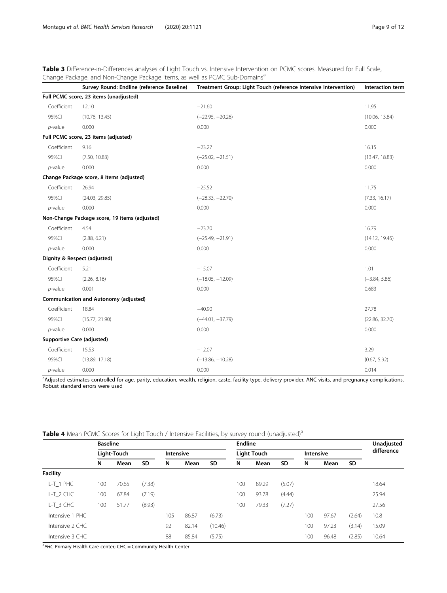<span id="page-8-0"></span>Table 3 Difference-in-Differences analyses of Light Touch vs. Intensive Intervention on PCMC scores. Measured for Full Scale, Change Package, and Non-Change Package items, as well as PCMC Sub-Domains<sup>a</sup>

|                            | Survey Round: Endline (reference Baseline)    | Treatment Group: Light Touch (reference Intensive Intervention) | Interaction term |
|----------------------------|-----------------------------------------------|-----------------------------------------------------------------|------------------|
|                            | Full PCMC score, 23 items (unadjusted)        |                                                                 |                  |
| Coefficient                | 12.10                                         | $-21.60$                                                        | 11.95            |
| 95%CI                      | (10.76, 13.45)                                | $(-22.95, -20.26)$                                              | (10.06, 13.84)   |
| $p$ -value                 | 0.000                                         | 0.000                                                           | 0.000            |
|                            | Full PCMC score, 23 items (adjusted)          |                                                                 |                  |
| Coefficient                | 9.16                                          | $-23.27$                                                        | 16.15            |
| 95%CI                      | (7.50, 10.83)                                 | $(-25.02, -21.51)$                                              | (13.47, 18.83)   |
| $p$ -value                 | 0.000                                         | 0.000                                                           | 0.000            |
|                            | Change Package score, 8 items (adjusted)      |                                                                 |                  |
| Coefficient                | 26.94                                         | $-25.52$                                                        | 11.75            |
| 95%CI                      | (24.03, 29.85)                                | $(-28.33, -22.70)$                                              | (7.33, 16.17)    |
| $p$ -value                 | 0.000                                         | 0.000                                                           | 0.000            |
|                            | Non-Change Package score, 19 items (adjusted) |                                                                 |                  |
| Coefficient                | 4.54                                          | $-23.70$                                                        | 16.79            |
| 95%CI                      | (2.88, 6.21)                                  | $(-25.49, -21.91)$                                              | (14.12, 19.45)   |
| $p$ -value                 | 0.000                                         | 0.000                                                           | 0.000            |
|                            | Dignity & Respect (adjusted)                  |                                                                 |                  |
| Coefficient                | 5.21                                          | $-15.07$                                                        | 1.01             |
| 95%CI                      | (2.26, 8.16)                                  | $(-18.05, -12.09)$                                              | $(-3.84, 5.86)$  |
| $p$ -value                 | 0.001                                         | 0.000                                                           | 0.683            |
|                            | <b>Communication and Autonomy (adjusted)</b>  |                                                                 |                  |
| Coefficient                | 18.84                                         | $-40.90$                                                        | 27.78            |
| 95%CI                      | (15.77, 21.90)                                | $(-44.01, -37.79)$                                              | (22.86, 32.70)   |
| $p$ -value                 | 0.000                                         | 0.000                                                           | 0.000            |
| Supportive Care (adjusted) |                                               |                                                                 |                  |
| Coefficient                | 15.53                                         | $-12.07$                                                        | 3.29             |
| 95%CI                      | (13.89, 17.18)                                | $(-13.86, -10.28)$                                              | (0.67, 5.92)     |
| $p$ -value                 | 0.000                                         | 0.000                                                           | 0.014            |

<sup>a</sup>Adjusted estimates controlled for age, parity, education, wealth, religion, caste, facility type, delivery provider, ANC visits, and pregnancy complications. Robust standard errors were used

|                 | <b>Baseline</b> |             |           |     |                  |           | <b>Endline</b> | Unadjusted         |           |           |       |            |       |
|-----------------|-----------------|-------------|-----------|-----|------------------|-----------|----------------|--------------------|-----------|-----------|-------|------------|-------|
|                 |                 | Light-Touch |           |     | <b>Intensive</b> |           |                | <b>Light Touch</b> |           | Intensive |       | difference |       |
|                 | N               | Mean        | <b>SD</b> | N   | Mean             | <b>SD</b> | N              | Mean               | <b>SD</b> | N         | Mean  | <b>SD</b>  |       |
| <b>Facility</b> |                 |             |           |     |                  |           |                |                    |           |           |       |            |       |
| $L-T_1$ PHC     | 100             | 70.65       | (7.38)    |     |                  |           | 100            | 89.29              | (5.07)    |           |       |            | 18.64 |
| $L-T_2$ CHC     | 100             | 67.84       | (7.19)    |     |                  |           | 100            | 93.78              | (4.44)    |           |       |            | 25.94 |
| $L-T_3$ CHC     | 100             | 51.77       | (8.93)    |     |                  |           | 100            | 79.33              | (7.27)    |           |       |            | 27.56 |
| Intensive 1 PHC |                 |             |           | 105 | 86.87            | (6.73)    |                |                    |           | 100       | 97.67 | (2.64)     | 10.8  |
| Intensive 2 CHC |                 |             |           | 92  | 82.14            | (10.46)   |                |                    |           | 100       | 97.23 | (3.14)     | 15.09 |
| Intensive 3 CHC |                 |             |           | 88  | 85.84            | (5.75)    |                |                    |           | 100       | 96.48 | (2.85)     | 10.64 |

Table 4 Mean PCMC Scores for Light Touch / Intensive Facilities, by survey round (unadjusted)<sup>a</sup>

<sup>a</sup>PHC Primary Health Care center; CHC = Community Health Center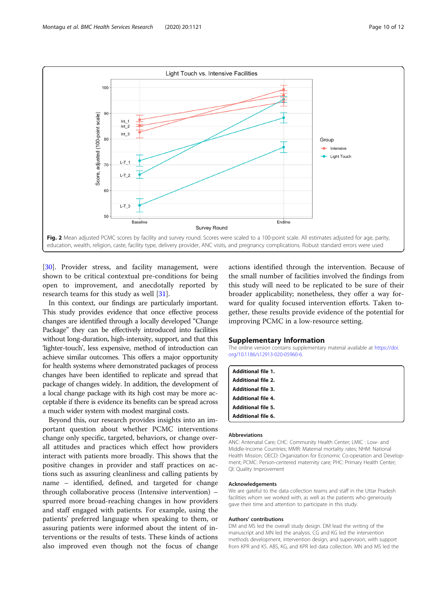<span id="page-9-0"></span>

[[30\]](#page-11-0). Provider stress, and facility management, were shown to be critical contextual pre-conditions for being open to improvement, and anecdotally reported by research teams for this study as well [\[31](#page-11-0)].

In this context, our findings are particularly important. This study provides evidence that once effective process changes are identified through a locally developed "Change Package" they can be effectively introduced into facilities without long-duration, high-intensity, support, and that this 'lighter-touch', less expensive, method of introduction can achieve similar outcomes. This offers a major opportunity for health systems where demonstrated packages of process changes have been identified to replicate and spread that package of changes widely. In addition, the development of a local change package with its high cost may be more acceptable if there is evidence its benefits can be spread across a much wider system with modest marginal costs.

Beyond this, our research provides insights into an important question about whether PCMC interventions change only specific, targeted, behaviors, or change overall attitudes and practices which effect how providers interact with patients more broadly. This shows that the positive changes in provider and staff practices on actions such as assuring cleanliness and calling patients by name – identified, defined, and targeted for change through collaborative process (Intensive intervention) – spurred more broad-reaching changes in how providers and staff engaged with patients. For example, using the patients' preferred language when speaking to them, or assuring patients were informed about the intent of interventions or the results of tests. These kinds of actions also improved even though not the focus of change

actions identified through the intervention. Because of the small number of facilities involved the findings from this study will need to be replicated to be sure of their broader applicability; nonetheless, they offer a way forward for quality focused intervention efforts. Taken together, these results provide evidence of the potential for improving PCMC in a low-resource setting.

## Supplementary Information

The online version contains supplementary material available at [https://doi.](https://doi.org/10.1186/s12913-020-05960-6) [org/10.1186/s12913-020-05960-6.](https://doi.org/10.1186/s12913-020-05960-6)

| <b>Additional file 1.</b> |  |
|---------------------------|--|
| <b>Additional file 2.</b> |  |
| <b>Additional file 3.</b> |  |
| <b>Additional file 4.</b> |  |
| <b>Additional file 5.</b> |  |
| Additional file 6.        |  |

#### Abbreviations

ANC: Antenatal Care; CHC: Community Health Center; LMIC : Low- and Middle-Income Countries; MMR: Maternal mortality rates; NHM: National Health Mission; OECD: Organization for Economic Co-operation and Development; PCMC: Person-centered maternity care; PHC: Primary Health Center; QI: Quality Improvement

#### Acknowledgements

We are gateful to the data collection teams and staff in the Uttar Pradesh facilities whom we worked with, as well as the patients who generously gave their time and attention to participate in this study.

#### Authors' contributions

DM and MS led the overall study design. DM lead the writing of the manuscript and MN led the analysis. CG and KG led the intervention methods development, intervention design, and supervision, with support from KPR and KS. ABS, KG, and KPR led data collection. MN and MS led the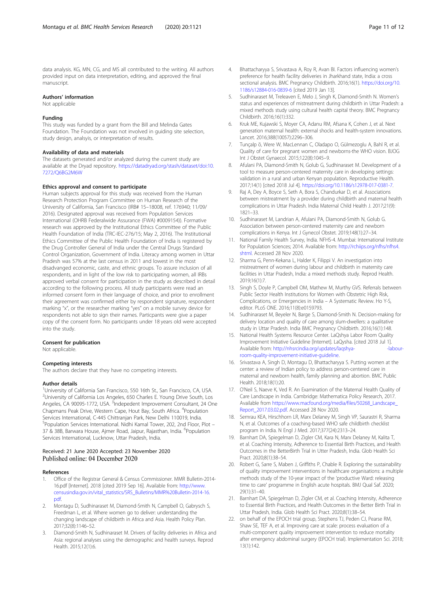<span id="page-10-0"></span>data analysis. KG, MN, CG, and MS all contributed to the writing. All authors provided input on data interpretation, editing, and approved the final manuscript.

## Authors' information

Not applicable

#### Funding

This study was funded by a grant from the Bill and Melinda Gates Foundation. The Foundation was not involved in guiding site selection, study design, analsyis, or interpretation of results.

#### Availability of data and materials

The datasets generated and/or analyzed during the current study are available at the Dryad repository. [https://datadryad.org/stash/dataset/doi:10.](https://datadryad.org/stash/dataset/doi:10.7272/Q6BG2M6W) [7272/Q6BG2M6W](https://datadryad.org/stash/dataset/doi:10.7272/Q6BG2M6W)

#### Ethics approval and consent to participate

Human subjects approval for this study was received from the Human Research Protection Program Committee on Human Research of the University of California, San Francisco (IRB# 15–18008, ref. 176940; 11/09/ 2016). Designated approval was received from Population Services International (OHRB Federalwide Assurance (FWA) #0009154)). Formative research was approved by the Institutional Ethics Committee of the Public Health Foundation of India (TRC-IEC-276/15; May 2, 2016). The Institutional Ethics Committee of the Public Health Foundation of India is registered by the Drug Controller General of India under the Central Drugs Standard Control Organization, Government of India. Literacy among women in Uttar Pradesh was 57% at the last census in 2011 and lowest in the most disadvanged economic, caste, and ethnic groups. To assure inclusion of all respondents, and in light of the low risk to participating women, all IRBs approved verbal consent for participation in the study as described in detail according to the following process. All study participants were read an informed consent form in their language of choice, and prior to enrollment their agreement was confirmed either by respondent signature, respondent marking "x", or the researcher marking "yes" on a mobile survey device for respondents not able to sign their names. Particpants were give a paper copy of the consent form. No participants under 18 years old were accepted into the study.

#### Consent for publication

Not applicable.

## Competing interests

The authors declare that they have no competing interests.

## Author details

<sup>1</sup>University of California San Francisco, 550 16th St., San Francisco, CA, USA. <sup>2</sup>University of California Los Angeles, 650 Charles E. Young Drive South, Los Angeles, CA 90095-1772, USA. <sup>3</sup>Indepedent Improvement Consultant, 24 One Chapmans Peak Drive, Western Cape, Hout Bay, South Africa. <sup>4</sup>Population Services International, C-445 Chittranjan Park, New Delhi 110019, India. 5 Population Services International. Nidhi Kamal Tower, 202, 2nd Floor, Plot – 37 & 38B, Barwara House, Ajmer Road, Jaipur, Rajasthan, India. <sup>6</sup>Population Services International, Lucknow, Uttar Pradesh, India.

## Received: 21 June 2020 Accepted: 23 November 2020 Published online: 04 December 2020

#### References

- 1. Office of the Registrar General & Census Commissioner. MMR Bulletin-2014- 16.pdf [Internet]. 2018 [cited 2019 Sep 16]. Available from: [http://www.](http://www.censusindia.gov.in/vital_statistics/SRS_Bulletins/MMR%20Bulletin-2014-16.pdf) [censusindia.gov.in/vital\\_statistics/SRS\\_Bulletins/MMR%20Bulletin-2014-16.](http://www.censusindia.gov.in/vital_statistics/SRS_Bulletins/MMR%20Bulletin-2014-16.pdf) [pdf](http://www.censusindia.gov.in/vital_statistics/SRS_Bulletins/MMR%20Bulletin-2014-16.pdf).
- 2. Montagu D, Sudhinaraset M, Diamond-Smith N, Campbell O, Gabrysch S, Freedman L, et al. Where women go to deliver: understanding the changing landscape of childbirth in Africa and Asia. Health Policy Plan. 2017;32(8):1146–52.
- Diamond-Smith N, Sudhinaraset M. Drivers of facility deliveries in Africa and Asia: regional analyses using the demographic and health surveys. Reprod Health. 2015;12(1):6.
- 4. Bhattacharyya S, Srivastava A, Roy R, Avan BI. Factors influencing women's preference for health facility deliveries in Jharkhand state, India: a cross sectional analysis. BMC Pregnancy Childbirth. 2016;16(1). [https://doi.org/10.](https://doi.org/10.1186/s12884-016-0839-6) [1186/s12884-016-0839-6](https://doi.org/10.1186/s12884-016-0839-6) [cited 2019 Jan 13].
- 5. Sudhinaraset M, Treleaven E, Melo J, Singh K, Diamond-Smith N. Women's status and experiences of mistreatment during childbirth in Uttar Pradesh: a mixed methods study using cultural health capital theory. BMC Pregnancy Childbirth. 2016;16(1):332.
- 6. Kruk ME, Kujawski S, Moyer CA, Adanu RM, Afsana K, Cohen J, et al. Next generation maternal health: external shocks and health-system innovations. Lancet. 2016;388(10057):2296–306.
- 7. Tuncalp ö, Were W, MacLennan C, Oladapo O, Gülmezoglu A, Bahl R, et al. Quality of care for pregnant women and newborns-the WHO vision. BJOG Int J Obstet Gynaecol. 2015;122(8):1045–9.
- 8. Afulani PA, Diamond-Smith N, Golub G, Sudhinaraset M. Development of a tool to measure person-centered maternity care in developing settings: validation in a rural and urban Kenyan population. Reproductive Health. 2017;14(1) [cited 2018 Jul 4]. <https://doi.org/10.1186/s12978-017-0381-7>.
- 9. Raj A, Dey A, Boyce S, Seth A, Bora S, Chandurkar D, et al. Associations between mistreatment by a provider during childbirth and maternal health complications in Uttar Pradesh. India Maternal Child Health J. 2017;21(9): 1821–33.
- 10. Sudhinaraset M, Landrian A, Afulani PA, Diamond-Smith N, Golub G. Association between person-centered maternity care and newborn complications in Kenya. Int J Gynecol Obstet. 2019;148(1):27–34.
- 11. National Family Health Survey, India. NFHS-4. Mumbai: International Institute for Population Sciences; 2014. Available from: [http://rchiips.org/nfhs/nfhs4.](http://rchiips.org/nfhs/nfhs4.shtml) [shtml.](http://rchiips.org/nfhs/nfhs4.shtml) Accessed 28 Nov 2020.
- 12. Sharma G, Penn-Kekana L, Halder K, Filippi V. An investigation into mistreatment of women during labour and childbirth in maternity care facilities in Uttar Pradesh, India: a mixed methods study. Reprod Health. 2019;16(1):7.
- 13. Singh S, Doyle P, Campbell OM, Mathew M, Murthy GVS. Referrals between Public Sector Health Institutions for Women with Obstetric High Risk, Complications, or Emergencies in India – A Systematic Review. Ho Y-S, editor. PLoS ONE. 2016;11(8):e0159793.
- 14. Sudhinaraset M, Beyeler N, Barge S, Diamond-Smith N. Decision-making for delivery location and quality of care among slum-dwellers: a qualitative study in Uttar Pradesh. India BMC Pregnancy Childbirth. 2016;16(1):148.
- 15. National Health Systems Resource Center. LaQshya Labor Room Quality Improvement Initiative Guideline [Internet]. LaQysha. [cited 2018 Jul 1]. Available from: http://nhsrcindia.org/updates/laqshya- - - - - - - labour[room-quality-improvement-initiative-guideline.](http://nhsrcindia.org/updates/laqshya-%E0%A4%B2%E0%A4%95%E0%A5%8D%E0%A4%B7%E0%A5%8D%E0%A4%AF-labour-room-quality-improvement-initiative-guideline)
- 16. Srivastava A, Singh D, Montagu D, Bhattacharyya S. Putting women at the center: a review of Indian policy to address person-centered care in maternal and newborn health, family planning and abortion. BMC Public Health. 2018;18(1):20.
- 17. O'Neil S, Naeve K, Ved R. An Examination of the Maternal Health Quality of Care Landscape in India. Cambridge: Mathematica Policy Research, 2017. Available from [https://www.macfound.org/media/files/50268\\_Landscape\\_](https://www.macfound.org/media/files/50268_Landscape_Report_2017.03.02.pdf) [Report\\_2017.03.02.pdf.](https://www.macfound.org/media/files/50268_Landscape_Report_2017.03.02.pdf) Accessed 28 Nov 2020.
- 18. Semrau KEA, Hirschhorn LR, Marx Delaney M, Singh VP, Saurastri R, Sharma N, et al. Outcomes of a coaching-based WHO safe childbirth checklist program in India. N Engl J Med. 2017;377(24):2313–24.
- 19. Barnhart DA, Spiegelman D, Zigler CM, Kara N, Marx Delaney M, Kalita T, et al. Coaching Intensity, Adherence to Essential Birth Practices, and Health Outcomes in the BetterBirth Trial in Utter Pradesh, India. Glob Health Sci Pract. 2020;8(1):38–54.
- 20. Robert G, Sarre S, Maben J, Griffiths P, Chable R. Exploring the sustainability of quality improvement interventions in healthcare organisations: a multiple methods study of the 10-year impact of the 'productive Ward: releasing time to care' programme in English acute hospitals. BMJ Qual Saf. 2020; 29(1):31–40.
- 21. Barnhart DA, Spiegelman D, Zigler CM, et al. Coaching Intensity, Adherence to Essential Birth Practices, and Health Outcomes in the Better Birth Trial in Uttar Pradesh, India. Glob Health Sci Pract. 2020;8(1):38–54.
- 22. on behalf of the EPOCH trial group, Stephens TJ, Peden CJ, Pearse RM, Shaw SE, TEF A, et al. Improving care at scale: process evaluation of a multi-component quality improvement intervention to reduce mortality after emergency abdominal surgery (EPOCH trial). Implementation Sci. 2018; 13(1):142.